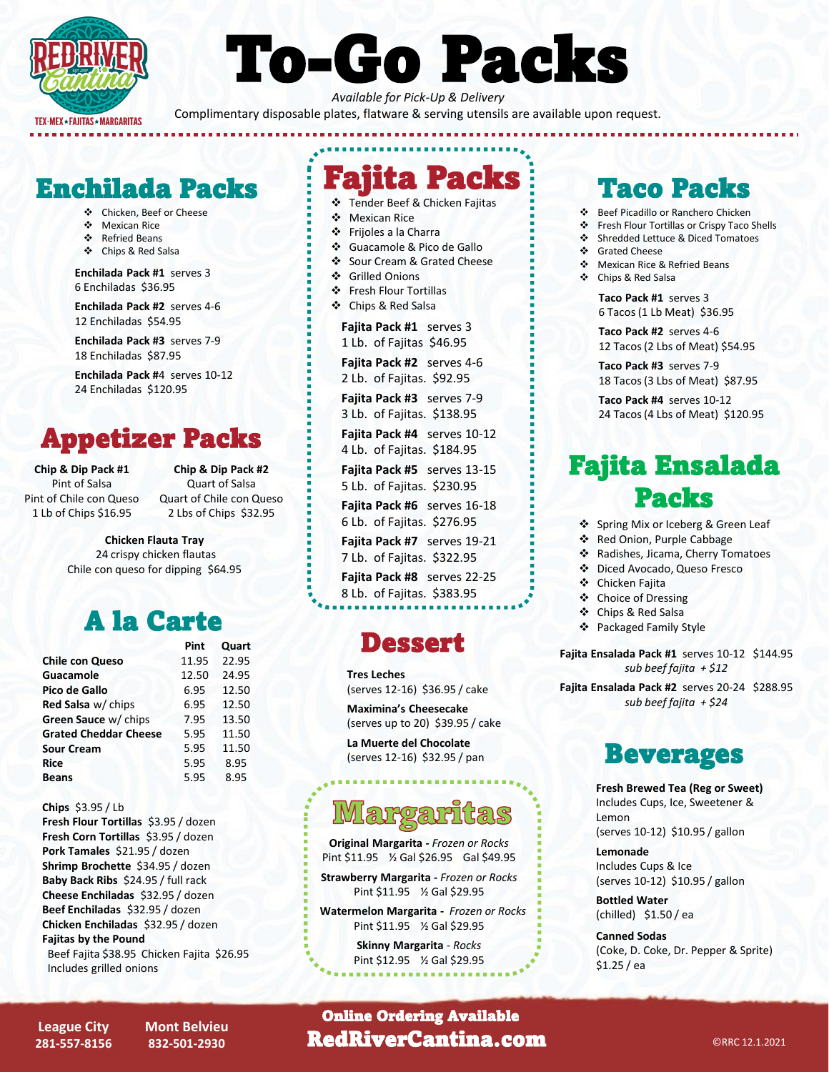

# To-Go Packs

*Available for Pick-Up & Delivery*  Complimentary disposable plates, flatware & serving utensils are available upon request.

# Enchilada Packs : Fajita Facks : Taco Packs

- ❖ Chicken, Beef or Cheese
- ❖ Mexican Rice
- ❖ Refried Beans
- ❖ Chips & Red Salsa

**Enchilada Pack #1** serves 3 6 Enchiladas \$36.95

**Enchilada Pack #2** serves 4-6 12 Enchiladas \$54.95

**Enchilada Pack #3** serves 7-9 18 Enchiladas \$87.95

**Enchilada Pack #**4 serves 10-12 24 Enchiladas \$120.95

# Appetizer Packs

**Chip & Dip Pack #1** Pint of Salsa Pint of Chile con Queso 1 Lb of Chips \$16.95

**Chip & Dip Pack #2** Quart of Salsa Quart of Chile con Queso 2 Lbs of Chips \$32.95

**Chicken Flauta Tray** 24 crispy chicken flautas Chile con queso for dipping \$64.95

# A la Carte

| Pint  | Quart |
|-------|-------|
| 11.95 | 22.95 |
| 12.50 | 24.95 |
| 6.95  | 12.50 |
| 6.95  | 12.50 |
| 7.95  | 13.50 |
| 5.95  | 11.50 |
| 5.95  | 11.50 |
| 5.95  | 8.95  |
| 5.95  | 8.95  |
|       |       |

**Chips** \$3.95 / Lb

**Fresh Flour Tortillas** \$3.95 / dozen **Fresh Corn Tortillas** \$3.95 / dozen **Pork Tamales** \$21.95 / dozen **Shrimp Brochette** \$34.95 / dozen **Baby Back Ribs** \$24.95 / full rack **Cheese Enchiladas** \$32.95 / dozen **Beef Enchiladas** \$32.95 / dozen **Chicken Enchiladas** \$32.95 / dozen **Fajitas by the Pound** Beef Fajita \$38.95 Chicken Fajita \$26.95 Includes grilled onions

❖ Tender Beef & Chicken Fajitas ❖ Mexican Rice

iita Packs

- ❖ Frijoles a la Charra
- ❖ Guacamole & Pico de Gallo
- ❖ Sour Cream & Grated Cheese
- ❖ Grilled Onions
- ❖ Fresh Flour Tortillas
- ❖ Chips & Red Salsa

**Fajita Pack #1** serves 3 1 Lb. of Fajitas \$46.95

**Fajita Pack #2** serves 4-6 2 Lb. of Fajitas. \$92.95

**Fajita Pack #3** serves 7-9 3 Lb. of Fajitas. \$138.95

**Fajita Pack #4** serves 10-12 4 Lb. of Fajitas. \$184.95

**Fajita Pack #5** serves 13-15 5 Lb. of Fajitas. \$230.95

**Fajita Pack #6** serves 16-18 6 Lb. of Fajitas. \$276.95

**Fajita Pack #7** serves 19-21

7 Lb. of Fajitas. \$322.95

**Fajita Pack #8** serves 22-25 8 Lb. of Fajitas. \$383.95

# **Dessert**

**Tres Leches** (serves 12-16) \$36.95 / cake

**Maximina's Cheesecake**  (serves up to 20) \$39.95 / cake

**La Muerte del Chocolate** (serves 12-16) \$32.95 / pan

# **artgara**

**Original Margarita -** *Frozen or Rocks* Pint \$11.95 ½ Gal \$26.95 Gal \$49.95

**Strawberry Margarita -** *Frozen or Rocks* Pint \$11.95 ½ Gal \$29.95

**Watermelon Margarita -** *Frozen or Rocks* Pint \$11.95 ½ Gal \$29.95

> **Skinny Margarita** *- Rocks* Pint \$12.95 ½ Gal \$29.95

- ❖ Beef Picadillo or Ranchero Chicken
- ❖ Fresh Flour Tortillas or Crispy Taco Shells<br>❖ Shredded Lettuce & Diced Tomatoes
- ❖ Shredded Lettuce & Diced Tomatoes<br>❖ Grated Cheese Grated Cheese
- ❖ Mexican Rice & Refried Beans
- ❖ Chips & Red Salsa
- 

**Taco Pack #1** serves 3 6 Tacos (1 Lb Meat) \$36.95

**Taco Pack #2** serves 4-6 12 Tacos (2 Lbs of Meat) \$54.95

**Taco Pack #3** serves 7-9 18 Tacos (3 Lbs of Meat) \$87.95

**Taco Pack #4** serves 10-12 24 Tacos (4 Lbs of Meat) \$120.95

# Fajita Ensalada Packs

- ❖ Spring Mix or Iceberg & Green Leaf
- ❖ Red Onion, Purple Cabbage
- ❖ Radishes, Jicama, Cherry Tomatoes
- ❖ Diced Avocado, Queso Fresco
- ❖ Chicken Fajita
- ❖ Choice of Dressing
- ❖ Chips & Red Salsa
- ❖ Packaged Family Style

**Fajita Ensalada Pack #1** serves 10-12 \$144.95 *sub beef fajita + \$12*

**Fajita Ensalada Pack #2** serves 20-24 \$288.95 *sub beef fajita + \$24*

# Beverages

**Fresh Brewed Tea (Reg or Sweet)** Includes Cups, Ice, Sweetener & Lemon (serves 10-12) \$10.95 / gallon

**Lemonade** Includes Cups & Ice (serves 10-12) \$10.95 / gallon

**Bottled Water**  (chilled) \$1.50 / ea

**Canned Sodas**  (Coke, D. Coke, Dr. Pepper & Sprite) \$1.25 / ea

**League City 281-557-8156** **Mont Belvieu 832-501-2930**

**RedRiverCantina.com ExpandEx CRRC 12.1.2021** Online Ordering Available